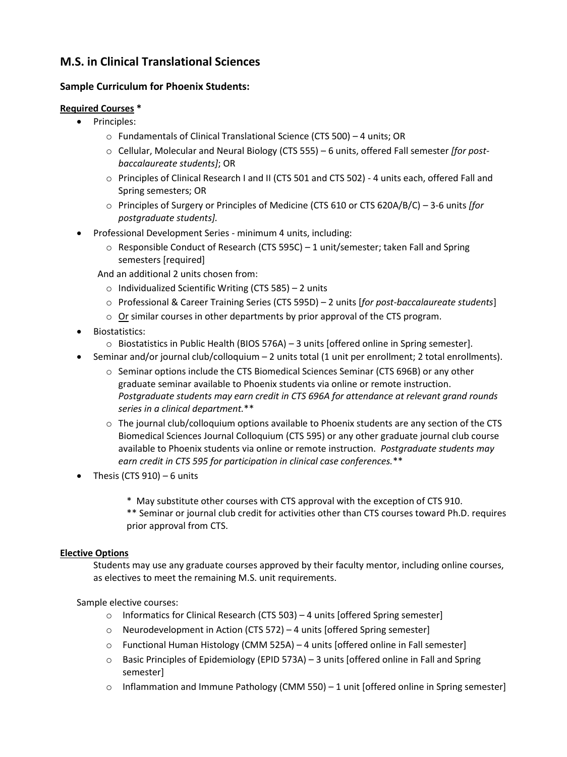## **M.S. in Clinical Translational Sciences**

## **Sample Curriculum for Phoenix Students:**

## **Required Courses \***

- Principles:
	- o Fundamentals of Clinical Translational Science (CTS 500) 4 units; OR
	- o Cellular, Molecular and Neural Biology (CTS 555) 6 units, offered Fall semester *[for postbaccalaureate students]*; OR
	- o Principles of Clinical Research I and II (CTS 501 and CTS 502) 4 units each, offered Fall and Spring semesters; OR
	- o Principles of Surgery or Principles of Medicine (CTS 610 or CTS 620A/B/C) 3-6 units *[for postgraduate students].*
	- Professional Development Series minimum 4 units, including:
		- $\circ$  Responsible Conduct of Research (CTS 595C) 1 unit/semester; taken Fall and Spring semesters [required]
		- And an additional 2 units chosen from:
			- o Individualized Scientific Writing (CTS 585) 2 units
			- o Professional & Career Training Series (CTS 595D) 2 units [*for post-baccalaureate students*]
			- $\circ$  Or similar courses in other departments by prior approval of the CTS program.
	- Biostatistics:
		- $\circ$  Biostatistics in Public Health (BIOS 576A) 3 units [offered online in Spring semester].
- Seminar and/or journal club/colloquium 2 units total (1 unit per enrollment; 2 total enrollments).
	- o Seminar options include the CTS Biomedical Sciences Seminar (CTS 696B) or any other graduate seminar available to Phoenix students via online or remote instruction. *Postgraduate students may earn credit in CTS 696A for attendance at relevant grand rounds series in a clinical department.*\*\*
	- $\circ$  The journal club/colloquium options available to Phoenix students are any section of the CTS Biomedical Sciences Journal Colloquium (CTS 595) or any other graduate journal club course available to Phoenix students via online or remote instruction. *Postgraduate students may earn credit in CTS 595 for participation in clinical case conferences.*\*\*
- Thesis (CTS 910) 6 units
	- \* May substitute other courses with CTS approval with the exception of CTS 910.

\*\* Seminar or journal club credit for activities other than CTS courses toward Ph.D. requires prior approval from CTS.

## **Elective Options**

Students may use any graduate courses approved by their faculty mentor, including online courses, as electives to meet the remaining M.S. unit requirements.

Sample elective courses:

- o Informatics for Clinical Research (CTS 503) 4 units [offered Spring semester]
- $\circ$  Neurodevelopment in Action (CTS 572) 4 units [offered Spring semester]
- $\circ$  Functional Human Histology (CMM 525A) 4 units [offered online in Fall semester]
- $\circ$  Basic Principles of Epidemiology (EPID 573A) 3 units [offered online in Fall and Spring semester]
- $\circ$  Inflammation and Immune Pathology (CMM 550) 1 unit [offered online in Spring semester]